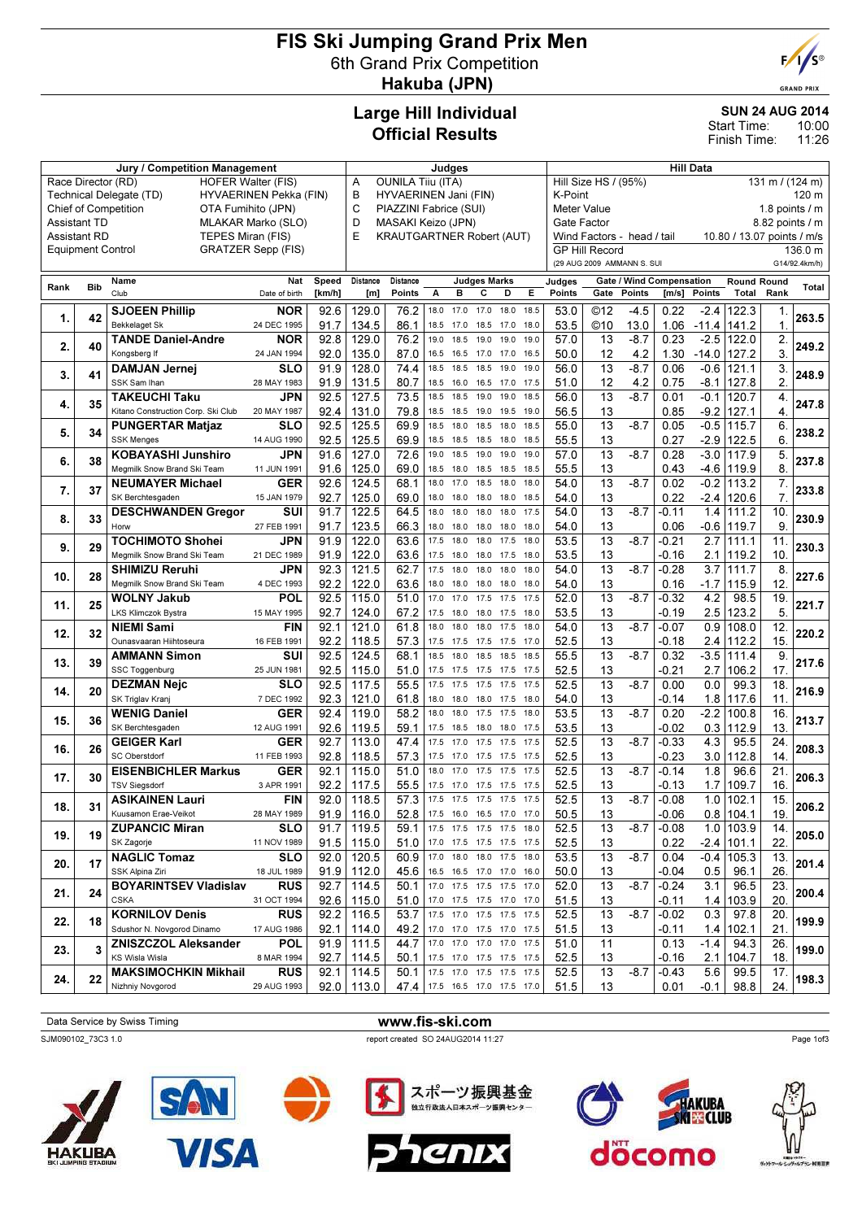#### FIS Ski Jumping Grand Prix Men 6th Grand Prix Competition Hakuba (JPN)



**GRAND PRIX** 

10:00 11:26

SUN 24 AUG 2014

Start Time: Finish Time:

#### Large Hill Individual Official Results

Jury / Competition Management de Late and Sudges and Judges Hill Data

| Race Director (RD)<br><b>HOFER Walter (FIS)</b>                      |            |                                                 |                           |                                                           |                                                                                              | <b>OUNILA Tiju (ITA)</b>                                                                       |              |              |                                                      |              |                   | Hill Size HS / (95%) |                                         | 131 m / $(124 m)$ |               |                             |                |         |  |
|----------------------------------------------------------------------|------------|-------------------------------------------------|---------------------------|-----------------------------------------------------------|----------------------------------------------------------------------------------------------|------------------------------------------------------------------------------------------------|--------------|--------------|------------------------------------------------------|--------------|-------------------|----------------------|-----------------------------------------|-------------------|---------------|-----------------------------|----------------|---------|--|
| Technical Delegate (TD)<br>HYVAERINEN Pekka (FIN)                    |            |                                                 |                           | В<br>HYVAERINEN Jani (FIN)<br>C<br>PIAZZINI Fabrice (SUI) |                                                                                              |                                                                                                |              |              |                                                      | K-Point      |                   |                      |                                         |                   |               |                             | 120 m          |         |  |
| Chief of Competition<br>OTA Fumihito (JPN)                           |            |                                                 |                           |                                                           |                                                                                              | <b>Meter Value</b><br>1.8 points $/$ m<br>MASAKI Keizo (JPN)<br>Gate Factor<br>8.82 points / m |              |              |                                                      |              |                   |                      |                                         |                   |               |                             |                |         |  |
| <b>Assistant TD</b><br>MLAKAR Marko (SLO)                            |            |                                                 |                           | D                                                         | <b>KRAUTGARTNER Robert (AUT)</b><br>Wind Factors - head / tail<br>10.80 / 13.07 points / m/s |                                                                                                |              |              |                                                      |              |                   |                      |                                         |                   |               |                             |                |         |  |
| TEPES Miran (FIS)<br><b>Assistant RD</b><br><b>Equipment Control</b> |            |                                                 | E                         | <b>GP Hill Record</b>                                     |                                                                                              |                                                                                                |              |              |                                                      |              |                   |                      |                                         |                   |               |                             |                |         |  |
|                                                                      |            |                                                 | <b>GRATZER Sepp (FIS)</b> |                                                           |                                                                                              |                                                                                                |              |              |                                                      |              |                   |                      | (29 AUG 2009 AMMANN S. SUI              |                   |               |                             |                | 136.0 m |  |
|                                                                      |            |                                                 |                           |                                                           |                                                                                              |                                                                                                |              |              |                                                      |              |                   |                      |                                         |                   | G14/92.4km/h) |                             |                |         |  |
| Rank                                                                 | <b>Bib</b> | Name<br>Club                                    | Nat                       | Speed                                                     | Distance                                                                                     | Distance                                                                                       |              | в            | <b>Judges Marks</b><br>С<br>D                        |              | Judges<br>Points  |                      | Gate / Wind Compensation<br>Gate Points |                   |               | <b>Round Round</b><br>Total | Rank           | Total   |  |
|                                                                      |            |                                                 | Date of birth             | [km/h]                                                    | [m]                                                                                          | Points                                                                                         | А            |              |                                                      | Е            |                   |                      |                                         | [m/s]             | Points        |                             |                |         |  |
| 1.                                                                   | 42         | <b>SJOEEN Phillip</b>                           | <b>NOR</b>                | 92.6                                                      | 129.0                                                                                        | 76.2                                                                                           | 18.0         | 17.0         | 17.0<br>18.0                                         | 18.5         | 53.0              | ©12                  | $-4.5$                                  | 0.22              | $-2.4$        | 122.3                       | 1.             | 263.5   |  |
|                                                                      |            | Bekkelaget Sk                                   | 24 DEC 1995               | 91.7                                                      | 134.5                                                                                        | 86.1                                                                                           | 18.5         | 17.0         | 18.5<br>17.0                                         | 18.0         | 53.5              | ©10                  | 13.0                                    | 1.06              | $-11.4$       | 141.2                       | 1.             |         |  |
| 2.                                                                   | 40         | <b>TANDE Daniel-Andre</b>                       | NOR                       | 92.8                                                      | 129.0                                                                                        | 76.2                                                                                           | 19.0         | 18.5         | 19.0<br>19.0                                         | 19.0         | 57.0              | 13                   | $-8.7$                                  | 0.23              | $-2.5$        | 122.0                       | 2.             | 249.2   |  |
|                                                                      |            | Kongsberg If                                    | 24 JAN 1994               | 92.0                                                      | 135.0                                                                                        | 87.0                                                                                           | 16.5         | 16.5         | 17.0<br>17.0                                         | 16.5         | 50.0              | 12                   | 4.2                                     | 1.30              | -14.0         | 127.2                       | 3.             |         |  |
| 3.                                                                   | 41         | <b>DAMJAN Jernej</b><br>SSK Sam Ihan            | SLO                       | 91.9                                                      | 128.0                                                                                        | 74.4                                                                                           | 18.5         | 18.5         | 18.5<br>19.0                                         | 19.0         | 56.0              | 13                   | $-8.7$                                  | 0.06              | $-0.6$        | 121.1                       | 3.             | 248.9   |  |
|                                                                      |            | TAKEUCHI Taku                                   | 28 MAY 1983<br>JPN        | 91.9<br>92.5                                              | 131.5<br>127.5                                                                               | 80.7<br>73.5                                                                                   | 18.5<br>18.5 | 16.0<br>18.5 | 16.5<br>17.0<br>19.0<br>19.0                         | 17.5<br>18.5 | 51.0<br>56.0      | 12<br>13             | 4.2<br>$-8.7$                           | 0.75<br>0.01      | -8.1<br>-0.1  | 127.8<br>120.7              | 2.<br>4.       |         |  |
| 4.                                                                   | 35         | Kitano Construction Corp. Ski Club              | 20 MAY 1987               | 92.4                                                      | 131.0                                                                                        | 79.8                                                                                           | 18.5         | 18.5         | 19.5<br>19.0                                         | 19.0         | 56.5              | 13                   |                                         | 0.85              | $-9.2$        | 127.1                       | $\overline{4}$ | 247.8   |  |
|                                                                      |            | <b>PUNGERTAR Matjaz</b>                         | SLO                       | 92.5                                                      | 125.5                                                                                        | 69.9                                                                                           | 18.5         | 18.0         | 18.5<br>18.0                                         | 18.5         | 55.0              | 13                   | $-8.7$                                  | 0.05              | $-0.5$        | 115.7                       | 6.             |         |  |
| 5.                                                                   | 34         | <b>SSK Menges</b>                               | 14 AUG 1990               | 92.5                                                      | 125.5                                                                                        | 69.9                                                                                           | 18.5         | 18.5         | 18.5<br>18.0                                         | 18.5         | 55.5              | 13                   |                                         | 0.27              | $-2.9$        | 122.5                       | 6.             | 238.2   |  |
|                                                                      |            | <b>KOBAYASHI Junshiro</b>                       | <b>JPN</b>                | 91.6                                                      | 127.0                                                                                        | 72.6                                                                                           | 19.0         | 18.5         | 19.0<br>19.0                                         | 19.0         | 57.0              | 13                   | $-8.7$                                  | 0.28              | $-3.0$        | 117.9                       | 5.             |         |  |
| 6.                                                                   | 38         | Megmilk Snow Brand Ski Team                     | 11 JUN 1991               | 91.6                                                      | 125.0                                                                                        | 69.0                                                                                           | 18.5         | 18.0         | 18.5<br>18.5                                         | 18.5         | 55.5              | 13                   |                                         | 0.43              | $-4.6$        | 119.9                       | 8.             | 237.8   |  |
|                                                                      |            | <b>NEUMAYER Michael</b>                         | <b>GER</b>                | 92.6                                                      | 124.5                                                                                        | 68.1                                                                                           | 18.0         | 17.0         | 18.5<br>18.0                                         | 18.0         | 54.0              | 13                   | $-8.7$                                  | 0.02              | $-0.2$        | 113.2                       | 7.             |         |  |
| 7.                                                                   | 37         | SK Berchtesgaden                                | 15 JAN 1979               | 92.7                                                      | 125.0                                                                                        | 69.0                                                                                           | 18.0         | 18.0         | 18.0<br>18.0                                         | 18.5         | 54.0              | 13                   |                                         | 0.22              | -2.4          | 120.6                       | $\overline{7}$ | 233.8   |  |
|                                                                      |            | <b>DESCHWANDEN Gregor</b>                       | SUI                       | 91.7                                                      | 122.5                                                                                        | 64.5                                                                                           | 18.0         | 18.0         | 18.0<br>18.0                                         | 17.5         | 54.0              | 13                   | $-8.7$                                  | -0.11             | 1.4           | 111.2                       | 10.            |         |  |
| 8.                                                                   | 33         | Horw                                            | 27 FEB 1991               | 91.7                                                      | 123.5                                                                                        | 66.3                                                                                           | 18.0         | 18.0         | 18.0<br>18.0                                         | 18.0         | 54.0              | 13                   |                                         | 0.06              | $-0.6$        | 119.7                       | 9.             | 230.9   |  |
|                                                                      |            | <b>TOCHIMOTO Shohei</b>                         | JPN                       | 91.9                                                      | 122.0                                                                                        | 63.6                                                                                           | 17.5         | 18.0         | 18.0<br>17.5                                         | 18.0         | 53.5              | 13                   | $-8.7$                                  | $-0.21$           | 2.7           | 111.1                       | 11.            |         |  |
| 9.                                                                   | 29         | Megmilk Snow Brand Ski Team                     | 21 DEC 1989               | 91.9                                                      | 122.0                                                                                        | 63.6                                                                                           | 17.5         | 18.0         | 17.5<br>18.0                                         | 18.0         | 53.5              | 13                   |                                         | $-0.16$           | 2.1 I         | 119.2                       | 10.            | 230.3   |  |
|                                                                      |            | <b>SHIMIZU Reruhi</b>                           | JPN                       | 92.3                                                      | 121.5                                                                                        | 62.7                                                                                           | 17.5         | 18.0         | 18.0<br>18.0                                         | 18.0         | 54.0              | 13                   | $-8.7$                                  | $-0.28$           | 3.7           | 111.7                       | 8.             |         |  |
| 10.                                                                  | 28         | Megmilk Snow Brand Ski Team                     | 4 DEC 1993                | 92.2                                                      | 122.0                                                                                        | 63.6                                                                                           | 18.0         | 18.0         | 18.0<br>18.0                                         | 18.0         | 54.0              | 13                   |                                         | 0.16              | $-1.7$        | 115.9                       | 12.            | 227.6   |  |
|                                                                      |            | <b>WOLNY Jakub</b>                              | POL                       | 92.5                                                      | 115.0                                                                                        | 51.0                                                                                           | 17.0         | 17.0         | 17.5<br>17.5                                         | 17.5         | 52.0              | 13                   | $-8.7$                                  | $-0.32$           | 4.2           | 98.5                        | 19.            |         |  |
| 11.                                                                  | 25         | LKS Klimczok Bystra                             | 15 MAY 1995               | 92.7                                                      | 124.0                                                                                        | 67.2                                                                                           | 17.5         | 18.0         | 18.0<br>17.5                                         | 18.0         | 53.5              | 13                   |                                         | -0.19             | 2.5           | 123.2                       | 5.             | 221.7   |  |
|                                                                      |            | <b>NIEMI Sami</b>                               | <b>FIN</b>                | 92.1                                                      | 121.0                                                                                        | 61.8                                                                                           | 18.0         | 18.0         | 18.0<br>17.5                                         | 18.0         | 54.0              | 13                   | $-8.7$                                  | $-0.07$           | 0.9           | 108.0                       | 12.            |         |  |
| 12.                                                                  | 32         | Ounasvaaran Hiihtoseura                         | 16 FEB 1991               | 92.2                                                      | 118.5                                                                                        | 57.3                                                                                           | 17.5         | 17.5         | 17.5<br>17.5                                         | 17.0         | 52.5              | 13                   |                                         | -0.18             | 2.4           | 112.2                       | 15.            | 220.2   |  |
|                                                                      | 39         | <b>AMMANN Simon</b>                             | SUI                       | 92.5                                                      | 124.5                                                                                        | 68.1                                                                                           | 18.5         | 18.0         | 18.5<br>18.5                                         | 18.5         | 55.5              | $\overline{13}$      | $-8.7$                                  | 0.32              | $-3.5$        | 111.4                       | 9.             | 217.6   |  |
| 13.                                                                  |            | SSC Toggenburg                                  | 25 JUN 1981               | 92.5                                                      | 115.0                                                                                        | 51.0                                                                                           | 17.5         | 17.5         | 17.5<br>17.5                                         | 17.5         | 52.5              | 13                   |                                         | $-0.21$           | 2.7           | 106.2                       | 17.            |         |  |
| 14.                                                                  | 20         | <b>DEZMAN Nejc</b>                              | SLO                       | 92.5                                                      | 117.5                                                                                        | 55.5                                                                                           | 17.5         | 17.5         | 17.5<br>17.5                                         | 17.5         | 52.5              | 13                   | $-8.7$                                  | 0.00              | 0.0           | 99.3                        | 18.            | 216.9   |  |
|                                                                      |            | SK Triglav Kranj                                | 7 DEC 1992                | 92.3                                                      | 121.0                                                                                        | 61.8                                                                                           | 18.0         | 18.0         | 18.0<br>17.5                                         | 18.0         | 54.0              | 13                   |                                         | -0.14             | 1.8           | 117.6                       | 11.            |         |  |
| 15.                                                                  | 36         | <b>WENIG Daniel</b>                             | <b>GER</b>                | 92.4                                                      | 119.0                                                                                        | 58.2                                                                                           | 18.0         | 18.0         | 17.5<br>17.5                                         | 18.0         | $53.\overline{5}$ | 13                   | $-8.7$                                  | 0.20              | $-2.2$        | 100.8                       | 16.            | 213.7   |  |
|                                                                      |            | SK Berchtesgaden                                | 12 AUG 1991               | 92.6                                                      | 119.5                                                                                        | 59.1                                                                                           | 17.5         | 18.5         | 18.0<br>18.0                                         | 17.5         | 53.5              | 13                   |                                         | -0.02             | 0.3           | 112.9                       | 13.            |         |  |
| 16.                                                                  | 26         | <b>GEIGER Karl</b>                              | <b>GER</b>                | 92.7                                                      | 113.0                                                                                        | 47.4                                                                                           | 17.5         | 17.0         | 17.5<br>17.5                                         | 17.5         | 52.5              | 13                   | $-8.7$                                  | $-0.33$           | 4.3           | 95.5                        | 24.            | 208.3   |  |
|                                                                      |            | <b>SC Oberstdorf</b>                            | 11 FEB 1993               | 92.8                                                      | 118.5                                                                                        | 57.3                                                                                           | 17.5         | 17.0         | 17.5<br>17.5                                         | 17.5         | 52.5              | 13                   |                                         | $-0.23$           | 3.0           | 112.8                       | 14.            |         |  |
| 17.                                                                  | 30         | <b>EISENBICHLER Markus</b>                      | GER                       | 92.1                                                      | 115.0                                                                                        | 51.0                                                                                           | 18.0         | 17.0         | 17.5<br>17.5                                         | 17.5         | 52.5              | 13                   | $-8.7$                                  | $-0.14$           | 1.8           | 96.6                        | 21.            | 206.3   |  |
|                                                                      |            | <b>TSV Siegsdorf</b>                            | 3 APR 1991                | 92.2                                                      | 117.5                                                                                        | 55.5                                                                                           | 17.5         | 17.0         | 17.5<br>17.5                                         | 17.5         | 52.5              | 13                   |                                         | $-0.13$           | 1.7           | 109.7                       | 16.            |         |  |
| 18.                                                                  | 31         | <b>ASIKAINEN Lauri</b>                          | <b>FIN</b>                | 92.0                                                      | 118.5                                                                                        | 57.3                                                                                           | 17.5         | 17.5         | 17.5<br>17.5                                         | 17.5         | 52.5              | 13                   | $-8.7$                                  | $-0.08$           | 1.0           | 102.1                       | 15.            | 206.2   |  |
|                                                                      |            | Kuusamon Erae-Veikot                            | 28 MAY 1989               | 91.9                                                      | 116.0                                                                                        | 52.8                                                                                           |              |              | 17.5 16.0 16.5 17.0 17.0                             |              | 50.5              | 13                   |                                         | -0.06             |               | $0.8$ 104.1                 | 19.            |         |  |
| 19.                                                                  | 19         | <b>ZUPANCIC Miran</b>                           | <b>SLO</b>                | 91.7                                                      | 119.5                                                                                        | 59.1                                                                                           |              |              | 17.5 17.5 17.5 17.5 18.0                             |              | 52.5              | $\overline{13}$      | $-8.7$                                  | $-0.08$           |               | $1.0$ 103.9                 | 14.            | 205.0   |  |
|                                                                      |            | SK Zagorje                                      | 11 NOV 1989               | 91.5                                                      | 115.0                                                                                        | 51.0                                                                                           |              |              | 17.0 17.5 17.5 17.5 17.5                             |              | 52.5              | 13                   |                                         | 0.22              |               | $-2.4$ 101.1                | 22.            |         |  |
| 20.                                                                  | 17         | <b>NAGLIC Tomaz</b>                             | <b>SLO</b>                | 92.0                                                      | 120.5                                                                                        | 60.9                                                                                           |              |              | 17.0 18.0 18.0 17.5 18.0                             |              | 53.5              | 13                   | $-8.7$                                  | 0.04              |               | $-0.4$ 105.3                | 13.            | 201.4   |  |
|                                                                      |            | SSK Alpina Ziri                                 | 18 JUL 1989               | 91.9                                                      | 112.0                                                                                        | 45.6                                                                                           |              |              | 16.5 16.5 17.0 17.0 16.0                             |              | 50.0              | 13                   |                                         | $-0.04$           | 0.5           | 96.1                        | 26.            |         |  |
| 21.                                                                  | 24         | <b>BOYARINTSEV Vladislav</b>                    | <b>RUS</b>                | 92.7                                                      | 114.5                                                                                        | 50.1                                                                                           |              |              | 17.0 17.5 17.5 17.5 17.0                             |              | 52.0              | 13                   | $-8.7$                                  | $-0.24$           | 3.1           | 96.5                        | 23.            | 200.4   |  |
|                                                                      |            | <b>CSKA</b>                                     | 31 OCT 1994               |                                                           | $92.6$   115.0                                                                               | 51.0                                                                                           |              |              | 17.0 17.5 17.5 17.0 17.0                             |              | 51.5              | 13                   |                                         | -0.11             | 1.4           | 103.9                       | 20.            |         |  |
| 22.                                                                  | 18         | <b>KORNILOV Denis</b>                           | <b>RUS</b>                |                                                           | $92.2$   116.5                                                                               | 53.7                                                                                           |              |              | 17.5 17.0 17.5 17.5 17.5                             |              | 52.5              | 13                   | $-8.7$                                  | $-0.02$           | 0.3           | 97.8                        | 20.            | 199.9   |  |
|                                                                      |            | Sdushor N. Novgorod Dinamo                      | 17 AUG 1986               | 92.1                                                      | 114.0                                                                                        | 49.2                                                                                           |              |              | 17.0 17.0 17.5 17.0 17.5                             |              | 51.5              | 13                   |                                         | $-0.11$           | $1.4 \mid$    | 102.1                       | 21.            |         |  |
| 23.                                                                  | 3          | <b>ZNISZCZOL Aleksander</b>                     | <b>POL</b>                |                                                           | $91.9$   111.5                                                                               | 44.7                                                                                           |              |              | 17.0 17.0 17.0 17.0 17.5                             |              | 51.0              | 11                   |                                         | 0.13              | $-1.4$        | 94.3                        | 26.            | 199.0   |  |
|                                                                      |            | KS Wisla Wisla                                  | 8 MAR 1994                | 92.7                                                      | 114.5                                                                                        | 50.1                                                                                           |              |              | 17.5 17.0 17.5 17.5 17.5<br>17.5 17.0 17.5 17.5 17.5 |              | 52.5              | 13                   |                                         | $-0.16$           | 2.1           | 104.7                       | 18.            |         |  |
| 24.                                                                  | 22         | <b>MAKSIMOCHKIN Mikhail</b><br>Nizhniy Novgorod | <b>RUS</b><br>29 AUG 1993 | 92.1                                                      | 114.5<br>$92.0$   113.0                                                                      | 50.1                                                                                           |              |              |                                                      |              | 52.5              | 13                   | $-8.7$                                  | $-0.43$           | 5.6<br>$-0.1$ | 99.5<br>98.8                | 17.            | 198.3   |  |
|                                                                      |            |                                                 |                           |                                                           |                                                                                              |                                                                                                |              |              | 47.4 17.5 16.5 17.0 17.5 17.0                        |              | 51.5              | 13                   |                                         | 0.01              |               |                             | 24.            |         |  |

Data Service by Swiss Timing WWW.fis-ski.com

SJM090102\_73C3 1.0 report created SO 24AUG2014 11:27

Page 1of3













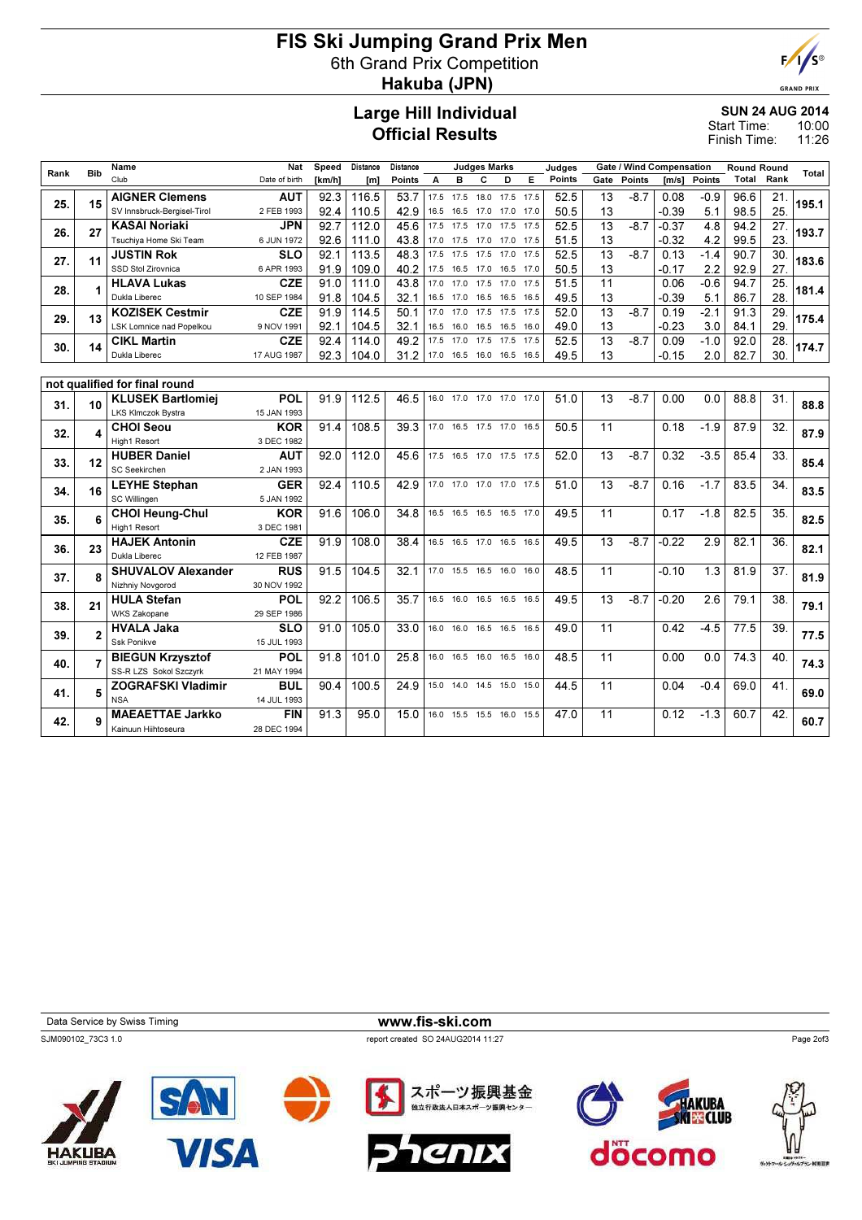## FIS Ski Jumping Grand Prix Men 6th Grand Prix Competition Hakuba (JPN)



**GRAND PRIX** 

#### Large Hill Individual Official Results

#### SUN 24 AUG 2014

10:00 11:26 Start Time: Finish Time:

| Rank | <b>Bib</b>     | Name                          | <b>Nat</b>    | Speed  | Distance | Distance      |      |      | <b>Judges Marks</b> |                              |      | Judaes |      |               | <b>Gate / Wind Compensation</b> |               | <b>Round Round</b> |      | Total |
|------|----------------|-------------------------------|---------------|--------|----------|---------------|------|------|---------------------|------------------------------|------|--------|------|---------------|---------------------------------|---------------|--------------------|------|-------|
|      |                | Club                          | Date of birth | [km/h] | [m]      | <b>Points</b> | A    | в    | C                   | D                            | Е    | Points | Gate | <b>Points</b> | Im/s1                           | <b>Points</b> | Total              | Rank |       |
|      |                | <b>AIGNER Clemens</b>         | <b>AUT</b>    | 92.3   | 116.5    | 53.7          | 17.5 | 17.5 | 18.0 17.5           |                              | 17.5 | 52.5   | 13   | $-8.7$        | 0.08                            | $-0.9$        | 96.6               | 21.  |       |
| 25.  | 15             | SV Innsbruck-Bergisel-Tirol   | 2 FEB 1993    | 92.4   | 110.5    | 42.9          | 16.5 | 16.5 | 17.0 17.0           |                              | 17.0 | 50.5   | 13   |               | $-0.39$                         | 5.1           | 98.5               | 25.  | 195.1 |
|      |                | <b>KASAI Noriaki</b>          | <b>JPN</b>    | 92.7   | 112.0    | 45.6          | 17.5 | 17.5 | 17.0                | 17.5                         | 17.5 | 52.5   | 13   | $-8.7$        | $-0.37$                         | 4.8           | 94.2               | 27.  |       |
| 26.  | 27             | Tsuchiya Home Ski Team        | 6 JUN 1972    | 92.6   | 111.0    | 43.8          | 17.0 | 17.5 | 17.0 17.0           |                              | 17.5 | 51.5   | 13   |               | $-0.32$                         | 4.2           | 99.5               | 23.  | 193.7 |
| 27.  | 11             | <b>JUSTIN Rok</b>             | <b>SLO</b>    | 92.1   | 113.5    | 48.3          | 17.5 | 17.5 | 17.5                | 17.0                         | 17.5 | 52.5   | 13   | $-8.7$        | 0.13                            | $-1.4$        | 90.7               | 30.  | 183.6 |
|      |                | SSD Stol Zirovnica            | 6 APR 1993    | 91.9   | 109.0    | 40.2          | 17.5 | 16.5 | 17.0 16.5           |                              | 17.0 | 50.5   | 13   |               | -0.17                           | 2.2           | 92.9               | 27.  |       |
| 28.  | 1              | <b>HLAVA Lukas</b>            | <b>CZE</b>    | 91.0   | 111.0    | 43.8          | 17.0 | 17.0 | 17.5 17.0           |                              | 17.5 | 51.5   | 11   |               | 0.06                            | $-0.6$        | 94.7               | 25.  | 181.4 |
|      |                | Dukla Liberec                 | 10 SEP 1984   | 91.8   | 104.5    | 32.1          | 16.5 | 17.0 | 16.5                | 16.5                         | 16.5 | 49.5   | 13   |               | $-0.39$                         | 5.1           | 86.7               | 28.  |       |
| 29.  | 13             | <b>KOZISEK Cestmir</b>        | <b>CZE</b>    | 91.9   | 114.5    | 50.1          | 17.0 | 17.0 | 17.5                | 17.5                         | 17.5 | 52.0   | 13   | $-8.7$        | 0.19                            | $-2.1$        | 91.3               | 29.  | 175.4 |
|      |                | LSK Lomnice nad Popelkou      | 9 NOV 1991    | 92.1   | 104.5    | 32.1          | 16.5 | 16.0 | 16.5                | 16.5                         | 16.0 | 49.0   | 13   |               | $-0.23$                         | 3.0           | 84.1               | 29   |       |
| 30.  | 14             | <b>CIKL Martin</b>            | <b>CZE</b>    | 92.4   | 114.0    | 49.2          | 17.5 | 17.0 | 17.5                | 17.5                         | 17.5 | 52.5   | 13   | $-8.7$        | 0.09                            | $-1.0$        | 92.0               | 28.  | 174.7 |
|      |                | Dukla Liberec                 | 17 AUG 1987   | 92.3   | 104.0    | 31.2          |      |      |                     | 17.0 16.5 16.0 16.5 16.5     |      | 49.5   | 13   |               | $-0.15$                         | 2.0           | 82.7               | 30.  |       |
|      |                |                               |               |        |          |               |      |      |                     |                              |      |        |      |               |                                 |               |                    |      |       |
|      |                | not qualified for final round |               |        |          |               |      |      |                     |                              |      |        |      |               |                                 |               |                    |      |       |
| 31.  | 10             | <b>KLUSEK Bartlomiej</b>      | POL           | 91.9   | 112.5    | 46.5          | 16.0 |      |                     | 17.0 17.0 17.0 17.0          |      | 51.0   | 13   | $-8.7$        | 0.00                            | 0.0           | 88.8               | 31.  | 88.8  |
|      |                | LKS Klmczok Bystra            | 15 JAN 1993   |        |          |               |      |      |                     |                              |      |        |      |               |                                 |               |                    |      |       |
| 32.  | 4              | <b>CHOI Seou</b>              | <b>KOR</b>    | 91.4   | 108.5    | 39.3          |      |      |                     | 17.0 16.5 17.5 17.0 16.5     |      | 50.5   | 11   |               | 0.18                            | $-1.9$        | 87.9               | 32.  | 87.9  |
|      |                | High1 Resort                  | 3 DEC 1982    |        |          |               |      |      |                     |                              |      |        |      |               |                                 |               |                    |      |       |
| 33.  | 12             | <b>HUBER Daniel</b>           | <b>AUT</b>    | 92.0   | 112.0    | 45.6          |      |      |                     | 17.5 16.5 17.0 17.5 17.5     |      | 52.0   | 13   | $-8.7$        | 0.32                            | $-3.5$        | 85.4               | 33.  | 85.4  |
|      |                | <b>SC Seekirchen</b>          | 2 JAN 1993    |        |          |               |      |      |                     |                              |      |        |      |               |                                 |               |                    |      |       |
| 34.  | 16             | <b>LEYHE Stephan</b>          | <b>GER</b>    | 92.4   | 110.5    | 42.9          |      |      |                     | 17.0 17.0 17.0 17.0 17.5     |      | 51.0   | 13   | $-8.7$        | 0.16                            | $-1.7$        | 83.5               | 34.  | 83.5  |
|      |                | SC Willingen                  | 5 JAN 1992    |        |          |               |      |      |                     |                              |      |        |      |               |                                 |               |                    |      |       |
| 35.  | 6              | <b>CHOI Heung-Chul</b>        | <b>KOR</b>    | 91.6   | 106.0    | 34.8          |      |      |                     | 16.5 16.5 16.5 16.5 17.0     |      | 49.5   | 11   |               | 0.17                            | $-1.8$        | 82.5               | 35.  | 82.5  |
|      |                | High1 Resort                  | 3 DEC 1981    |        |          |               |      |      |                     |                              |      |        |      |               |                                 |               |                    |      |       |
| 36.  | 23             | <b>HAJEK Antonin</b>          | <b>CZE</b>    | 91.9   | 108.0    | 38.4          |      |      |                     | 16.5 16.5 17.0 16.5 16.5     |      | 49.5   | 13   | $-8.7$        | $-0.22$                         | 2.9           | 82.1               | 36.  | 82.1  |
|      |                | Dukla Liberec                 | 12 FEB 1987   |        |          |               |      |      |                     |                              |      |        |      |               |                                 |               |                    |      |       |
| 37.  | 8              | <b>SHUVALOV Alexander</b>     | <b>RUS</b>    | 91.5   | 104.5    | 32.1          |      |      |                     | 17.0  15.5  16.5  16.0  16.0 |      | 48.5   | 11   |               | $-0.10$                         | 1.3           | 81.9               | 37.  | 81.9  |
|      |                | Nizhniy Novgorod              | 30 NOV 1992   |        |          |               |      |      |                     |                              |      |        |      |               |                                 |               |                    |      |       |
| 38.  | 21             | <b>HULA Stefan</b>            | POL           | 92.2   | 106.5    | 35.7          |      |      |                     | 16.5 16.0 16.5 16.5 16.5     |      | 49.5   | 13   | $-8.7$        | $-0.20$                         | 2.6           | 79.1               | 38.  | 79.1  |
|      |                | <b>WKS Zakopane</b>           | 29 SEP 1986   |        |          |               |      |      |                     |                              |      |        |      |               |                                 |               |                    |      |       |
| 39.  | $\overline{2}$ | <b>HVALA Jaka</b>             | <b>SLO</b>    | 91.0   | 105.0    | 33.0          |      |      |                     | 16.0 16.0 16.5 16.5 16.5     |      | 49.0   | 11   |               | 0.42                            | $-4.5$        | 77.5               | 39.  | 77.5  |
|      |                | Ssk Ponikve                   | 15 JUL 1993   |        |          |               |      |      |                     |                              |      |        |      |               |                                 |               |                    |      |       |
| 40.  | 7              | <b>BIEGUN Krzysztof</b>       | POL           | 91.8   | 101.0    | 25.8          |      |      |                     | 16.0 16.5 16.0 16.5 16.0     |      | 48.5   | 11   |               | 0.00                            | 0.0           | 74.3               | 40   | 74.3  |
|      |                | SS-R LZS Sokol Szczyrk        | 21 MAY 1994   |        |          |               |      |      |                     |                              |      |        |      |               |                                 |               |                    |      |       |
| 41.  | 5              | <b>ZOGRAFSKI Vladimir</b>     | <b>BUL</b>    | 90.4   | 100.5    | 24.9          |      |      |                     | 15.0 14.0 14.5 15.0 15.0     |      | 44.5   | 11   |               | 0.04                            | $-0.4$        | 69.0               | 41.  | 69.0  |
|      |                | <b>NSA</b>                    | 14 JUL 1993   |        |          |               |      |      |                     |                              |      |        |      |               |                                 |               |                    |      |       |
| 42.  | q              | <b>MAEAETTAE Jarkko</b>       | <b>FIN</b>    | 91.3   | 95.0     | 15.0          |      |      |                     | 16.0 15.5 15.5 16.0 15.5     |      | 47.0   | 11   |               | 0.12                            | $-1.3$        | 60.7               | 42.  | 60.7  |
|      |                | Kainuun Hiihtoseura           | 28 DEC 1994   |        |          |               |      |      |                     |                              |      |        |      |               |                                 |               |                    |      |       |

Data Service by Swiss Timing WWW.fis-ski.com SJM090102\_73C3 1.0 report created SO 24AUG2014 11:27

Page 2of3